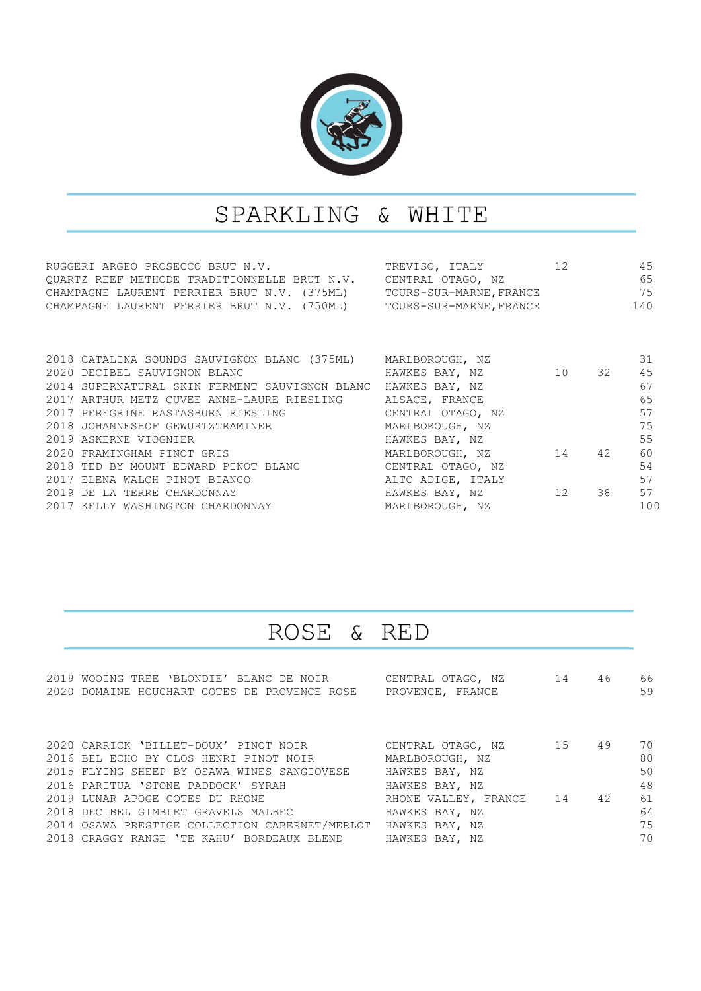

## SPARKLING & WHITE

| RUGGERI ARGEO PROSECCO BRUT N.V.                                    | TREVISO, ITALY    | 12 |       | 45  |
|---------------------------------------------------------------------|-------------------|----|-------|-----|
| QUARTZ REEF METHODE TRADITIONNELLE BRUT N.V. CENTRAL OTAGO, NZ      |                   |    |       | 65  |
| CHAMPAGNE LAURENT PERRIER BRUT N.V. (375ML) TOURS-SUR-MARNE, FRANCE |                   |    | 75    |     |
| CHAMPAGNE LAURENT PERRIER BRUT N.V. (750ML) TOURS-SUR-MARNE, FRANCE |                   |    | 140   |     |
|                                                                     |                   |    |       |     |
|                                                                     |                   |    |       |     |
|                                                                     |                   |    |       |     |
| 2018 CATALINA SOUNDS SAUVIGNON BLANC (375ML) MARLBOROUGH, NZ        |                   |    |       | 31  |
| 2020 DECIBEL SAUVIGNON BLANC                                        | HAWKES BAY, NZ    |    | 10 32 | 45  |
| 2014 SUPERNATURAL SKIN FERMENT SAUVIGNON BLANC HAWKES BAY, NZ       |                   |    |       | 67  |
| 2017 ARTHUR METZ CUVEE ANNE-LAURE RIESLING ALSACE, FRANCE           |                   |    |       | 65  |
| 2017 PEREGRINE RASTASBURN RIESLING CENTRAL OTAGO, NZ                |                   |    |       | 57  |
| 2018 JOHANNESHOF GEWURTZTRAMINER MARLBOROUGH, NZ                    |                   |    |       | 75  |
| 2019 ASKERNE VIOGNIER                                               | HAWKES BAY, NZ    |    |       | 55  |
| 2020 FRAMINGHAM PINOT GRIS                                          | MARLBOROUGH, NZ   |    | 14 42 | 60  |
| 2018 TED BY MOUNT EDWARD PINOT BLANC CENTRAL OTAGO, NZ              |                   |    |       | 54  |
| 2017 ELENA WALCH PINOT BIANCO                                       | ALTO ADIGE, ITALY |    |       | 57  |
| 2019 DE LA TERRE CHARDONNAY                                         | HAWKES BAY, NZ    |    | 12 38 | 57  |
| 2017 KELLY WASHINGTON CHARDONNAY                                    | MARLBOROUGH, NZ   |    |       | 100 |
|                                                                     |                   |    |       |     |

## ROSE & **RED**

| 2019 WOOING TREE 'BLONDIE' BLANC DE NOIR       | CENTRAL OTAGO, NZ 14    | 46 | 66 |
|------------------------------------------------|-------------------------|----|----|
| 2020 DOMAINE HOUCHART COTES DE PROVENCE ROSE   | PROVENCE, FRANCE        |    | 59 |
|                                                |                         |    |    |
|                                                |                         |    |    |
|                                                |                         |    |    |
| 2020 CARRICK 'BILLET-DOUX' PINOT NOIR          | CENTRAL OTAGO, NZ 15    | 49 | 70 |
| 2016 BEL ECHO BY CLOS HENRI PINOT NOIR         | MARLBOROUGH, NZ         |    | 80 |
| 2015 FLYING SHEEP BY OSAWA WINES SANGIOVESE    | HAWKES BAY, NZ          |    | 50 |
| 2016 PARITUA 'STONE PADDOCK' SYRAH             | HAWKES BAY, NZ          |    | 48 |
| 2019 LUNAR APOGE COTES DU RHONE                | RHONE VALLEY, FRANCE 14 | 42 | 61 |
| 2018 DECIBEL GIMBLET GRAVELS MALBEC            | HAWKES BAY, NZ          |    | 64 |
| 2014 OSAWA PRESTIGE COLLECTION CABERNET/MERLOT | HAWKES BAY, NZ          |    | 75 |
| 2018 CRAGGY RANGE 'TE KAHU' BORDEAUX BLEND     | HAWKES BAY, NZ          |    | 70 |